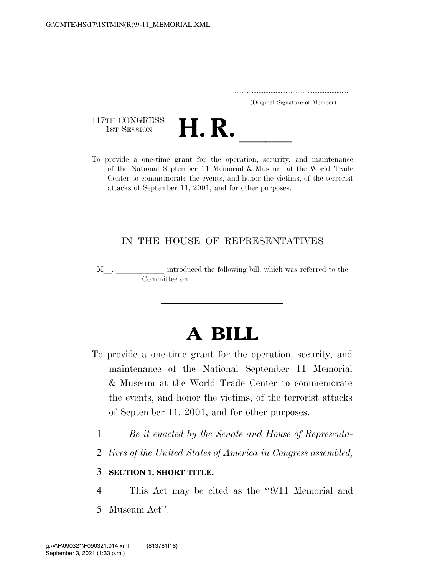..................................................................... (Original Signature of Member)

117TH CONGRESS<br>1st Session



117TH CONGRESS<br>1st SESSION<br>To provide a one-time grant for the operation, security, and maintenance of the National September 11 Memorial & Museum at the World Trade Center to commemorate the events, and honor the victims, of the terrorist attacks of September 11, 2001, and for other purposes.

## IN THE HOUSE OF REPRESENTATIVES

<sup>M</sup>l. llllll introduced the following bill; which was referred to the Committee on leads on later was a set of the contract of the contract of the contract of the contract of the contract of the contract of the contract of the contract of the contract of the contract of the contract of the c

## **A BILL**

- To provide a one-time grant for the operation, security, and maintenance of the National September 11 Memorial & Museum at the World Trade Center to commemorate the events, and honor the victims, of the terrorist attacks of September 11, 2001, and for other purposes.
	- 1 *Be it enacted by the Senate and House of Representa-*
	- 2 *tives of the United States of America in Congress assembled,*

## 3 **SECTION 1. SHORT TITLE.**

- 4 This Act may be cited as the ''9/11 Memorial and
- 5 Museum Act''.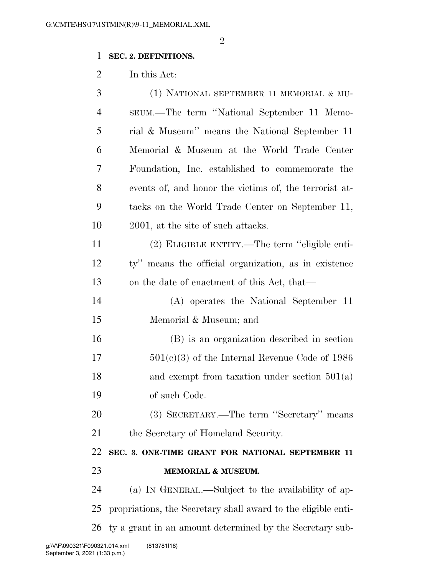## **SEC. 2. DEFINITIONS.**

In this Act:

| 3              | (1) NATIONAL SEPTEMBER 11 MEMORIAL & MU-                      |
|----------------|---------------------------------------------------------------|
| $\overline{4}$ | SEUM.—The term "National September 11 Memo-                   |
| 5              | rial & Museum" means the National September 11                |
| 6              | Memorial & Museum at the World Trade Center                   |
| 7              | Foundation, Inc. established to commemorate the               |
| 8              | events of, and honor the victims of, the terrorist at-        |
| 9              | tacks on the World Trade Center on September 11,              |
| 10             | 2001, at the site of such attacks.                            |
| 11             | (2) ELIGIBLE ENTITY.—The term "eligible enti-                 |
| 12             | ty" means the official organization, as in existence          |
| 13             | on the date of enactment of this Act, that—                   |
| 14             | (A) operates the National September 11                        |
| 15             | Memorial & Museum; and                                        |
| 16             | (B) is an organization described in section                   |
| 17             | $501(c)(3)$ of the Internal Revenue Code of 1986              |
| 18             | and exempt from taxation under section $501(a)$               |
| 19             | of such Code.                                                 |
| 20             | (3) SECRETARY.—The term "Secretary" means                     |
| 21             | the Secretary of Homeland Security.                           |
| 22             | SEC. 3. ONE-TIME GRANT FOR NATIONAL SEPTEMBER 11              |
| 23             | <b>MEMORIAL &amp; MUSEUM.</b>                                 |
| 24             | (a) IN GENERAL.—Subject to the availability of ap-            |
| 25             | propriations, the Secretary shall award to the eligible enti- |
| 26             | ty a grant in an amount determined by the Secretary sub-      |
|                |                                                               |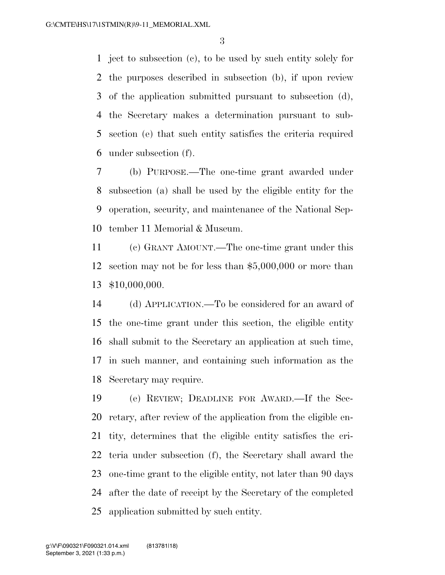ject to subsection (c), to be used by such entity solely for the purposes described in subsection (b), if upon review of the application submitted pursuant to subsection (d), the Secretary makes a determination pursuant to sub- section (e) that such entity satisfies the criteria required under subsection (f).

 (b) PURPOSE.—The one-time grant awarded under subsection (a) shall be used by the eligible entity for the operation, security, and maintenance of the National Sep-tember 11 Memorial & Museum.

 (c) GRANT AMOUNT.—The one-time grant under this section may not be for less than \$5,000,000 or more than \$10,000,000.

 (d) APPLICATION.—To be considered for an award of the one-time grant under this section, the eligible entity shall submit to the Secretary an application at such time, in such manner, and containing such information as the Secretary may require.

 (e) REVIEW; DEADLINE FOR AWARD.—If the Sec- retary, after review of the application from the eligible en- tity, determines that the eligible entity satisfies the cri- teria under subsection (f), the Secretary shall award the one-time grant to the eligible entity, not later than 90 days after the date of receipt by the Secretary of the completed application submitted by such entity.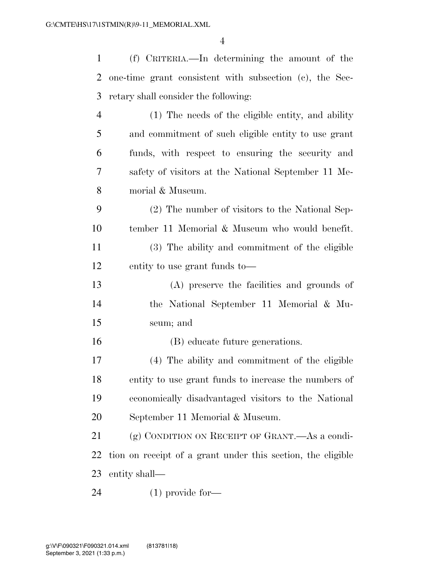(f) CRITERIA.—In determining the amount of the one-time grant consistent with subsection (c), the Sec- retary shall consider the following: (1) The needs of the eligible entity, and ability and commitment of such eligible entity to use grant funds, with respect to ensuring the security and safety of visitors at the National September 11 Me- morial & Museum. (2) The number of visitors to the National Sep- tember 11 Memorial & Museum who would benefit. (3) The ability and commitment of the eligible entity to use grant funds to— (A) preserve the facilities and grounds of the National September 11 Memorial & Mu- seum; and (B) educate future generations. (4) The ability and commitment of the eligible entity to use grant funds to increase the numbers of economically disadvantaged visitors to the National September 11 Memorial & Museum. (g) CONDITION ON RECEIPT OF GRANT.—As a condi- tion on receipt of a grant under this section, the eligible entity shall— (1) provide for—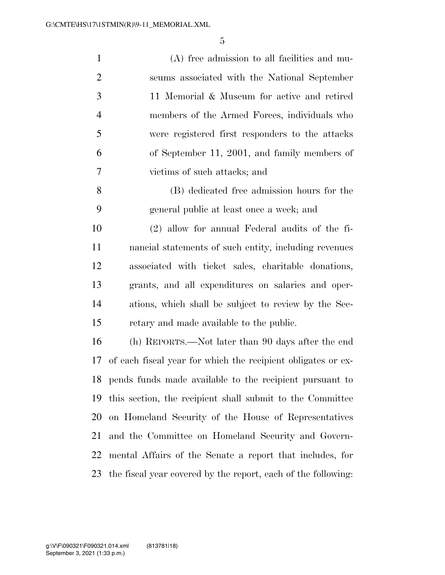| $\mathbf{1}$   | (A) free admission to all facilities and mu-                 |
|----------------|--------------------------------------------------------------|
| $\overline{2}$ | seums associated with the National September                 |
| 3              | 11 Memorial & Museum for active and retired                  |
| $\overline{4}$ | members of the Armed Forces, individuals who                 |
| 5              | were registered first responders to the attacks              |
| 6              | of September 11, 2001, and family members of                 |
| 7              | victims of such attacks; and                                 |
| 8              | (B) dedicated free admission hours for the                   |
| 9              | general public at least once a week; and                     |
| 10             | (2) allow for annual Federal audits of the fi-               |
| 11             | nancial statements of such entity, including revenues        |
| 12             | associated with ticket sales, charitable donations,          |
| 13             | grants, and all expenditures on salaries and oper-           |
| 14             | ations, which shall be subject to review by the Sec-         |
| 15             | retary and made available to the public.                     |
| 16             | (h) REPORTS.—Not later than 90 days after the end            |
| 17             | of each fiscal year for which the recipient obligates or ex- |
| 18             | pends funds made available to the recipient pursuant to      |
| 19             | this section, the recipient shall submit to the Committee    |
| 20             | on Homeland Security of the House of Representatives         |
| 21             | and the Committee on Homeland Security and Govern-           |
| 22             | mental Affairs of the Senate a report that includes, for     |

the fiscal year covered by the report, each of the following: